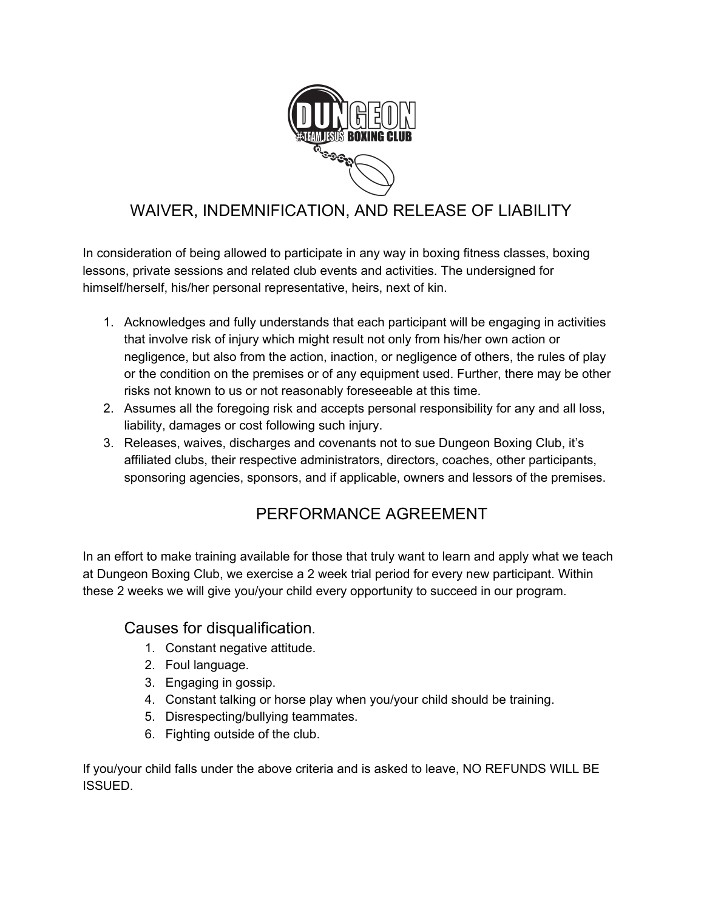

# WAIVER, INDEMNIFICATION, AND RELEASE OF LIABILITY

In consideration of being allowed to participate in any way in boxing fitness classes, boxing lessons, private sessions and related club events and activities. The undersigned for himself/herself, his/her personal representative, heirs, next of kin.

- 1. Acknowledges and fully understands that each participant will be engaging in activities that involve risk of injury which might result not only from his/her own action or negligence, but also from the action, inaction, or negligence of others, the rules of play or the condition on the premises or of any equipment used. Further, there may be other risks not known to us or not reasonably foreseeable at this time.
- 2. Assumes all the foregoing risk and accepts personal responsibility for any and all loss, liability, damages or cost following such injury.
- 3. Releases, waives, discharges and covenants not to sue Dungeon Boxing Club, it's affiliated clubs, their respective administrators, directors, coaches, other participants, sponsoring agencies, sponsors, and if applicable, owners and lessors of the premises.

## PERFORMANCE AGREEMENT

In an effort to make training available for those that truly want to learn and apply what we teach at Dungeon Boxing Club, we exercise a 2 week trial period for every new participant. Within these 2 weeks we will give you/your child every opportunity to succeed in our program.

#### Causes for disqualification.

- 1. Constant negative attitude.
- 2. Foul language.
- 3. Engaging in gossip.
- 4. Constant talking or horse play when you/your child should be training.
- 5. Disrespecting/bullying teammates.
- 6. Fighting outside of the club.

If you/your child falls under the above criteria and is asked to leave, NO REFUNDS WILL BE ISSUED.